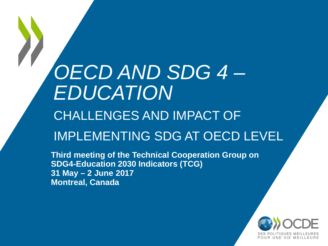# *OECD AND SDG 4 – EDUCATION* CHALLENGES AND IMPACT OF

### IMPLEMENTING SDG AT OECD LEVEL

**Third meeting of the Technical Cooperation Group on SDG4-Education 2030 Indicators (TCG) 31 May – 2 June 2017 Montreal, Canada**

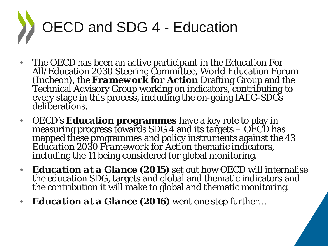

- The OECD has been an active participant in the Education For All/Education 2030 Steering Committee, World Education Forum (Incheon), the *Framework for Action Drafting Group and the*<br>Technical Advisory Group working on indicators, contributing to every stage in this process, including the on-going IAEG-SDGs deliberations.
- OECD's **Education programmes** have a key role to play in measuring progress towards SDG 4 and its targets OECD has mapped these programmes and policy instruments against the 43 *Education 2030 Framework for Action* thematic indicators, including the 11 being considered for global monitoring.
- *Education at a Glance (2015)* set out how OECD will internalise the education SDG, targets and global and thematic indicators and the contribution it will make to global and thematic monitoring.
- *Education at a Glance (2016)* went one step further…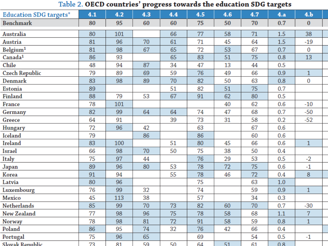Table 2. OECD countries' progress towards the education SDG targets

| <b>Education SDG targets*</b> | 4.1 | 4.2            | 4.3 | 4.4 | 4.5 | 4.6 | 4.7 | 4.a | 4.b            |  |
|-------------------------------|-----|----------------|-----|-----|-----|-----|-----|-----|----------------|--|
| <b>Benchmark</b>              | 80  | 95             | 60  | 60  | 75  | 50  | 70  | 0.7 | $\bf{0}$       |  |
| <b>Australia</b>              | 80  | 101            |     | 66  | 77  | 58  | 71  | 1.5 | 38             |  |
| Austria                       | 81  | 96             | 70  | 61  | 71  | 45  | 64  | 1.5 | $-19$          |  |
| Belgium <sup>1</sup>          | 81  | 98             | 67  | 65  | 72  | 53  | 67  | 0.7 | $\bf{0}$       |  |
| Canada <sup>1</sup>           | 86  | 93             |     | 65  | 83  | 51  | 75  | 0.8 | 13             |  |
| Chile                         | 48  | 94             | 87  | 34  | 47  | 13  | 44  | 0.5 |                |  |
| <b>Czech Republic</b>         | 79  | 89             | 69  | 59  | 76  | 49  | 66  | 0.9 | $\mathbf{1}$   |  |
| Denmark                       | 83  | 98             | 89  | 70  | 82  | 50  | 63  | 0.8 | $\bf{0}$       |  |
| <b>Estonia</b>                | 89  |                |     | 51  | 82  | 51  | 75  | 0.7 |                |  |
| Finland                       | 88  | 79             | 53  | 67  | 91  | 62  | 80  | 0.5 |                |  |
| France                        | 78  | 101            |     |     |     | 40  | 62  | 0.6 | $-10$          |  |
| Germany                       | 82  | 99             | 64  | 64  | 74  | 47  | 68  | 0.7 | $-50$          |  |
| Greece                        | 64  | 91             |     | 39  | 73  | 31  | 58  | 0.2 | $-52$          |  |
| Hungary                       | 72  | 96             | 42  |     | 63  |     | 67  | 0.6 |                |  |
| Iceland                       | 79  |                | 86  |     | 86  |     | 60  | 0.6 |                |  |
| Ireland                       | 83  | 100            |     | 51  | 80  | 45  | 66  | 0.6 | $\mathbf{1}$   |  |
| <b>Israel</b>                 | 66  | 98             | 70  | 50  | 75  | 38  | 50  | 0.4 |                |  |
| Italy                         | 75  | 97             | 44  |     | 76  | 29  | 53  | 0.5 | $-2$           |  |
| Japan                         | 89  | 96             | 80  | 53  | 78  | 72  | 75  | 0.6 | $-1$           |  |
| Korea                         | 91  | 94             |     | 55  | 78  | 46  | 72  | 0.4 | 8              |  |
| Latvia                        | 80  | 96             |     |     | 75  |     | 63  | 1.0 |                |  |
| Luxembourg                    | 76  | 99             | 32  |     | 74  |     | 59  | 0.9 | $\mathbf{1}$   |  |
| Mexico                        | 45  | 113            | 38  |     | 57  |     | 34  | 0.3 |                |  |
| Netherlands                   | 85  | 99             | 70  | 73  | 82  | 60  | 70  | 0.7 | $-30$          |  |
| <b>New Zealand</b>            | 77  | 98             | 96  | 75  | 78  | 58  | 68  | 1.1 | $\overline{7}$ |  |
| Norway                        | 78  | 98             | 81  | 72  | 91  | 58  | 59  | 0.8 | $\mathbf{1}$   |  |
| Poland                        | 86  | 95             | 74  | 32  | 76  | 42  | 66  | 0.4 |                |  |
| Portugal                      | 75  | 96             | 65  |     | 69  |     | 54  | 0.5 | $-1$           |  |
| Slovak Republic               | 72  | R <sub>1</sub> | 59  | 50  | 64  | 51  | 61  | 0.8 |                |  |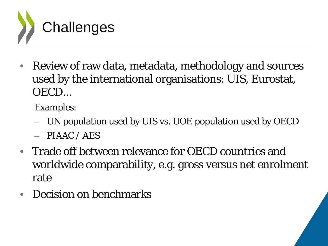

• Review of raw data, metadata, methodology and sources used by the international organisations: UIS, Eurostat, OECD...

Examples:

- UN population used by UIS vs. UOE population used by OECD
- $-$  PIAAC / AES
- Trade off between relevance for OECD countries and worldwide comparability, e.g. gross versus net enrolment rate
- Decision on benchmarks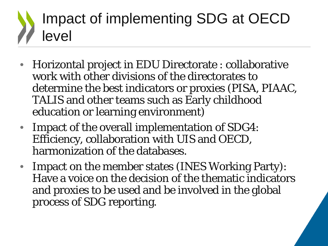### Impact of implementing SDG at OECD level

- Horizontal project in EDU Directorate : collaborative work with other divisions of the directorates to determine the best indicators or proxies (PISA, PIAAC, TALIS and other teams such as Early childhood education or learning environment)
- Impact of the overall implementation of SDG4: Efficiency, collaboration with UIS and OECD, harmonization of the databases.
- Impact on the member states (INES Working Party): Have a voice on the decision of the thematic indicators and proxies to be used and be involved in the global process of SDG reporting.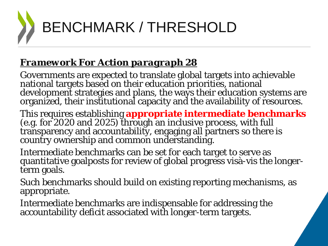

#### *Framework For Action paragraph 28*

Governments are expected to translate global targets into achievable national targets based on their education priorities, national development strategies and plans, the ways their education systems are organized, their institutional capacity and the availability of resources.

This requires establishing **appropriate intermediate benchmarks** (e.g. for 2020 and 2025) through an inclusive process, with full transparency and accountability, engaging all partners so there is country ownership and common understanding.

Intermediate benchmarks can be set for each target to serve as quantitative goalposts for review of global progress visà-vis the longer- term goals.

Such benchmarks should build on existing reporting mechanisms, as appropriate.

Intermediate benchmarks are indispensable for addressing the accountability deficit associated with longer-term targets.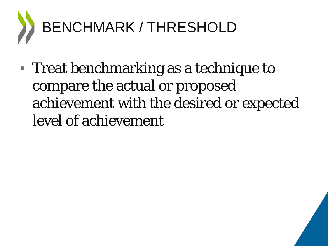

• Treat benchmarking as a technique to compare the actual or proposed achievement with the desired or expected level of achievement

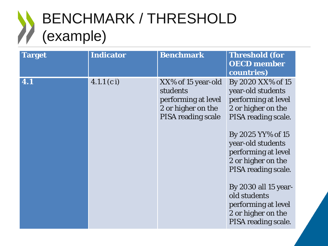#### BENCHMARK / THRESHOLD (example)

| <b>Target</b>    | <b>Indicator</b> | <b>Benchmark</b>                                                                                         | <b>Threshold (for</b><br><b>OECD</b> member<br>countries)                                                                                                                                                                                                                                                                            |
|------------------|------------------|----------------------------------------------------------------------------------------------------------|--------------------------------------------------------------------------------------------------------------------------------------------------------------------------------------------------------------------------------------------------------------------------------------------------------------------------------------|
| $\overline{4.1}$ | 4.1.1 (c i)      | XX% of 15 year-old<br>students<br>performing at level<br>2 or higher on the<br><b>PISA</b> reading scale | By 2020 XX% of 15<br>year-old students<br>performing at level<br>2 or higher on the<br>PISA reading scale.<br>By 2025 YY% of 15<br>year-old students<br>performing at level<br>2 or higher on the<br>PISA reading scale.<br>By 2030 all 15 year-<br>old students<br>performing at level<br>2 or higher on the<br>PISA reading scale. |